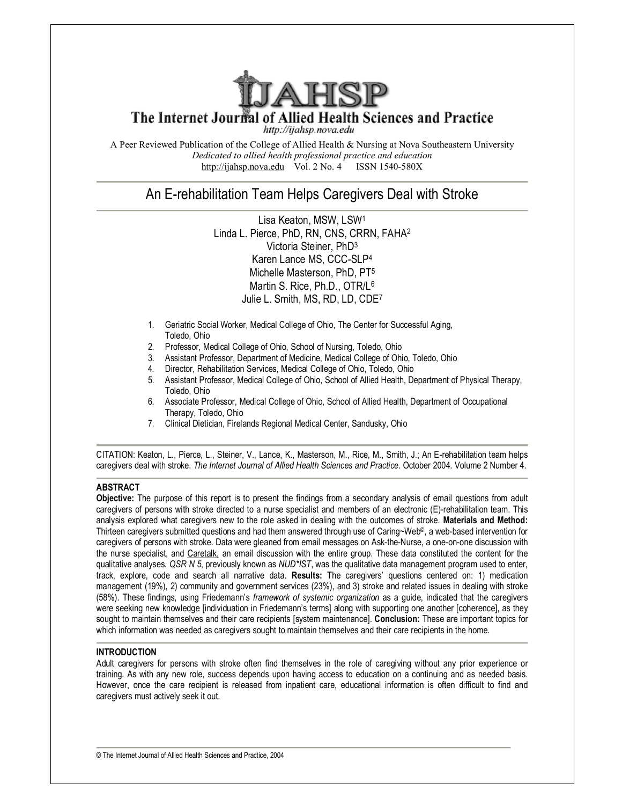

# The Internet Journal of Allied Health Sciences and Practice

http://ijahsp.nova.edu

A Peer Reviewed Publication of the College of Allied Health & Nursing at Nova Southeastern University *Dedicated to allied health professional practice and education* <http://ijahsp.nova.edu> Vol. 2 No. 4 ISSN 1540-580X

# An E-rehabilitation Team Helps Caregivers Deal with Stroke

Lisa Keaton, MSW, LSW<sup>1</sup> Linda L. Pierce, PhD, RN, CNS, CRRN, FAHA<sup>2</sup> Victoria Steiner, PhD<sup>3</sup> Karen Lance MS, CCC-SLP<sup>4</sup> Michelle Masterson, PhD, PT<sup>5</sup> Martin S. Rice, Ph.D., OTR/L<sup>6</sup> Julie L. Smith, MS, RD, LD, CDE<sup>7</sup>

- 1. Geriatric Social Worker, Medical College of Ohio, The Center for Successful Aging, Toledo, Ohio
- 2. Professor, Medical College of Ohio, School of Nursing, Toledo, Ohio
- 3. Assistant Professor, Department of Medicine, Medical College of Ohio, Toledo, Ohio
- 4. Director, Rehabilitation Services, Medical College of Ohio, Toledo, Ohio
- 5. Assistant Professor, Medical College of Ohio, School of Allied Health, Department of Physical Therapy, Toledo, Ohio
- 6. Associate Professor, Medical College of Ohio, School of Allied Health, Department of Occupational Therapy, Toledo, Ohio
- 7. Clinical Dietician, Firelands Regional Medical Center, Sandusky, Ohio

CITATION: Keaton, L., Pierce, L., Steiner, V., Lance, K., Masterson, M., Rice, M., Smith, J.; An E-rehabilitation team helps caregivers deal with stroke. *The Internet Journal of Allied Health Sciences and Practice*. October 2004. Volume 2 Number 4.

# **ABSTRACT**

**Objective:** The purpose of this report is to present the findings from a secondary analysis of email questions from adult caregivers of persons with stroke directed to a nurse specialist and members of an electronic (E)-rehabilitation team. This analysis explored what caregivers new to the role asked in dealing with the outcomes of stroke. **Materials and Method:** Thirteen caregivers submitted questions and had them answered through use of Caring~Web©, a web-based intervention for caregivers of persons with stroke. Data were gleaned from email messages on Ask-the-Nurse, a one-on-one discussion with the nurse specialist, and Caretalk, an email discussion with the entire group. These data constituted the content for the qualitative analyses. *QSR N 5*, previously known as *NUD\*IST*, was the qualitative data management program used to enter, track, explore, code and search all narrative data. **Results:** The caregivers' questions centered on: 1) medication management (19%), 2) community and government services (23%), and 3) stroke and related issues in dealing with stroke (58%). These findings, using Friedemann's *framework of systemic organization* as a guide, indicated that the caregivers were seeking new knowledge [individuation in Friedemann's terms] along with supporting one another [coherence], as they sought to maintain themselves and their care recipients [system maintenance]. **Conclusion:** These are important topics for which information was needed as caregivers sought to maintain themselves and their care recipients in the home.

# **INTRODUCTION**

Adult caregivers for persons with stroke often find themselves in the role of caregiving without any prior experience or training. As with any new role, success depends upon having access to education on a continuing and as needed basis. However, once the care recipient is released from inpatient care, educational information is often difficult to find and caregivers must actively seek it out.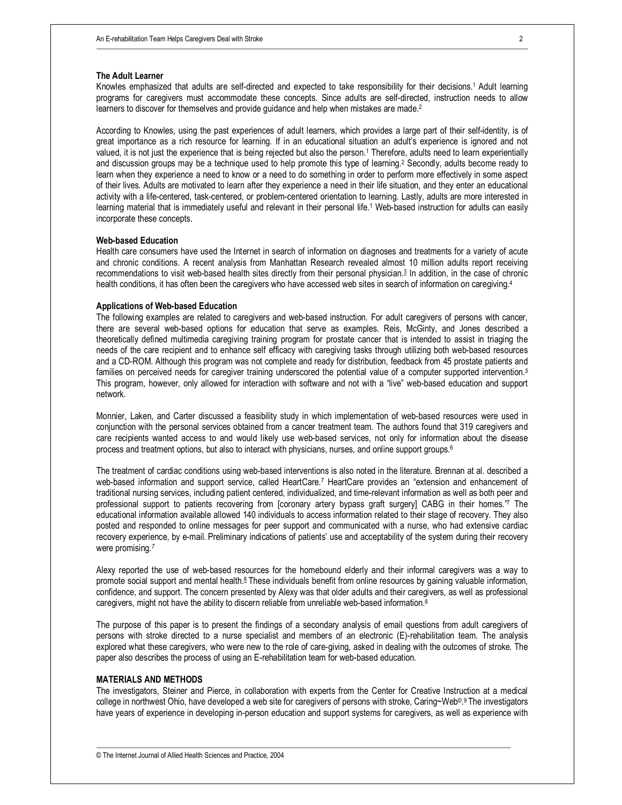#### **The Adult Learner**

Knowles emphasized that adults are self-directed and expected to take responsibility for their decisions.1 Adult learning programs for caregivers must accommodate these concepts. Since adults are self-directed, instruction needs to allow learners to discover for themselves and provide guidance and help when mistakes are made.<sup>2</sup>

According to Knowles, using the past experiences of adult learners, which provides a large part of their self-identity, is of great importance as a rich resource for learning. If in an educational situation an adult's experience is ignored and not valued, it is not just the experience that is being rejected but also the person.<sup>1</sup> Therefore, adults need to learn experientially and discussion groups may be a technique used to help promote this type of learning.<sup>2</sup> Secondly, adults become ready to learn when they experience a need to know or a need to do something in order to perform more effectively in some aspect of their lives. Adults are motivated to learn after they experience a need in their life situation, and they enter an educational activity with a life-centered, task-centered, or problem-centered orientation to learning. Lastly, adults are more interested in learning material that is immediately useful and relevant in their personal life.<sup>1</sup> Web-based instruction for adults can easily incorporate these concepts.

#### **Web-based Education**

Health care consumers have used the Internet in search of information on diagnoses and treatments for a variety of acute and chronic conditions. A recent analysis from Manhattan Research revealed almost 10 million adults report receiving recommendations to visit web-based health sites directly from their personal physician.<sup>3</sup> In addition, in the case of chronic health conditions, it has often been the caregivers who have accessed web sites in search of information on caregiving.<sup>4</sup>

### **Applications of Web-based Education**

The following examples are related to caregivers and web-based instruction. For adult caregivers of persons with cancer, there are several web-based options for education that serve as examples. Reis, McGinty, and Jones described a theoretically defined multimedia caregiving training program for prostate cancer that is intended to assist in triaging the needs of the care recipient and to enhance self efficacy with caregiving tasks through utilizing both web-based resources and a CD-ROM. Although this program was not complete and ready for distribution, feedback from 45 prostate patients and families on perceived needs for caregiver training underscored the potential value of a computer supported intervention.*<sup>5</sup>* This program, however, only allowed for interaction with software and not with a "live" web-based education and support network.

Monnier, Laken, and Carter discussed a feasibility study in which implementation of web-based resources were used in conjunction with the personal services obtained from a cancer treatment team. The authors found that 319 caregivers and care recipients wanted access to and would likely use web-based services, not only for information about the disease process and treatment options, but also to interact with physicians, nurses, and online support groups.<sup>6</sup>

The treatment of cardiac conditions using web-based interventions is also noted in the literature. Brennan at al. described a web-based information and support service, called HeartCare.<sup>7</sup> HeartCare provides an "extension and enhancement of traditional nursing services, including patient centered, individualized, and time-relevant information as well as both peer and professional support to patients recovering from [coronary artery bypass graft surgery] CABG in their homes."7 The educational information available allowed 140 individuals to access information related to their stage of recovery. They also posted and responded to online messages for peer support and communicated with a nurse, who had extensive cardiac recovery experience, by e-mail. Preliminary indications of patients' use and acceptability of the system during their recovery were promising*. 7*

Alexy reported the use of web-based resources for the homebound elderly and their informal caregivers was a way to promote social support and mental health. $8$  These individuals benefit from online resources by gaining valuable information, confidence, and support. The concern presented by Alexy was that older adults and their caregivers, as well as professional caregivers, might not have the ability to discern reliable from unreliable web-based information.<sup>8</sup>

The purpose of this paper is to present the findings of a secondary analysis of email questions from adult caregivers of persons with stroke directed to a nurse specialist and members of an electronic (E)-rehabilitation team. The analysis explored what these caregivers, who were new to the role of care-giving, asked in dealing with the outcomes of stroke. The paper also describes the process of using an E-rehabilitation team for web-based education.

#### **MATERIALS AND METHODS**

The investigators, Steiner and Pierce, in collaboration with experts from the Center for Creative Instruction at a medical college in northwest Ohio, have developed a web site for caregivers of persons with stroke, Caring~Web®.9 The investigators have years of experience in developing in-person education and support systems for caregivers, as well as experience with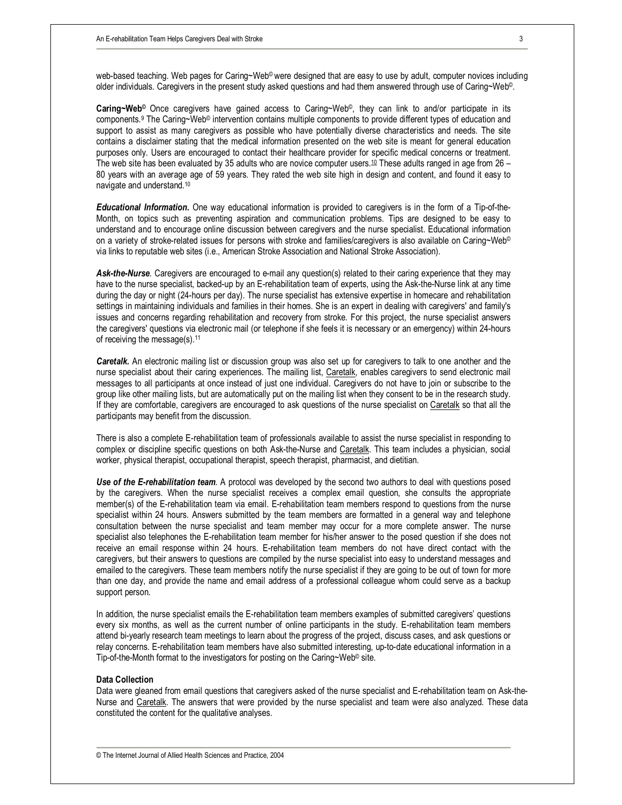web-based teaching. Web pages for Caring~Web<sup>©</sup> were designed that are easy to use by adult, computer novices including older individuals. Caregivers in the present study asked questions and had them answered through use of Caring~Web©.

**Caring~Web©** Once caregivers have gained access to Caring~Web©, they can link to and/or participate in its components.<sup>9</sup> The Caring~Web© intervention contains multiple components to provide different types of education and support to assist as many caregivers as possible who have potentially diverse characteristics and needs. The site contains a disclaimer stating that the medical information presented on the web site is meant for general education purposes only. Users are encouraged to contact their healthcare provider for specific medical concerns or treatment. The web site has been evaluated by 35 adults who are novice computer users.<sup>10</sup> These adults ranged in age from 26 – 80 years with an average age of 59 years. They rated the web site high in design and content, and found it easy to navigate and understand.<sup>10</sup>

*Educational Information.* One way educational information is provided to caregivers is in the form of a Tip-of-the-Month, on topics such as preventing aspiration and communication problems. Tips are designed to be easy to understand and to encourage online discussion between caregivers and the nurse specialist. Educational information on a variety of stroke-related issues for persons with stroke and families/caregivers is also available on Caring~Web© via links to reputable web sites (i.e., American Stroke Association and National Stroke Association).

*Ask-the-Nurse.* Caregivers are encouraged to e-mail any question(s) related to their caring experience that they may have to the nurse specialist, backed-up by an E-rehabilitation team of experts, using the Ask-the-Nurse link at any time during the day or night (24-hours per day). The nurse specialist has extensive expertise in homecare and rehabilitation settings in maintaining individuals and families in their homes. She is an expert in dealing with caregivers' and family's issues and concerns regarding rehabilitation and recovery from stroke. For this project, the nurse specialist answers the caregivers' questions via electronic mail (or telephone if she feels it is necessary or an emergency) within 24-hours of receiving the message(s).<sup>11</sup>

*Caretalk.* An electronic mailing list or discussion group was also set up for caregivers to talk to one another and the nurse specialist about their caring experiences. The mailing list, Caretalk, enables caregivers to send electronic mail messages to all participants at once instead of just one individual. Caregivers do not have to join or subscribe to the group like other mailing lists, but are automatically put on the mailing list when they consent to be in the research study. If they are comfortable, caregivers are encouraged to ask questions of the nurse specialist on Caretalk so that all the participants may benefit from the discussion.

There is also a complete E-rehabilitation team of professionals available to assist the nurse specialist in responding to complex or discipline specific questions on both Ask-the-Nurse and Caretalk. This team includes a physician, social worker, physical therapist, occupational therapist, speech therapist, pharmacist, and dietitian.

*Use of the E-rehabilitation team.* A protocol was developed by the second two authors to deal with questions posed by the caregivers. When the nurse specialist receives a complex email question, she consults the appropriate member(s) of the E-rehabilitation team via email. E-rehabilitation team members respond to questions from the nurse specialist within 24 hours. Answers submitted by the team members are formatted in a general way and telephone consultation between the nurse specialist and team member may occur for a more complete answer. The nurse specialist also telephones the E-rehabilitation team member for his/her answer to the posed question if she does not receive an email response within 24 hours. E-rehabilitation team members do not have direct contact with the caregivers, but their answers to questions are compiled by the nurse specialist into easy to understand messages and emailed to the caregivers. These team members notify the nurse specialist if they are going to be out of town for more than one day, and provide the name and email address of a professional colleague whom could serve as a backup support person.

In addition, the nurse specialist emails the E-rehabilitation team members examples of submitted caregivers' questions every six months, as well as the current number of online participants in the study. E-rehabilitation team members attend bi-yearly research team meetings to learn about the progress of the project, discuss cases, and ask questions or relay concerns. E-rehabilitation team members have also submitted interesting, up-to-date educational information in a Tip-of-the-Month format to the investigators for posting on the Caring~Web© site.

#### **Data Collection**

Data were gleaned from email questions that caregivers asked of the nurse specialist and E-rehabilitation team on Ask-the-Nurse and Caretalk. The answers that were provided by the nurse specialist and team were also analyzed. These data constituted the content for the qualitative analyses.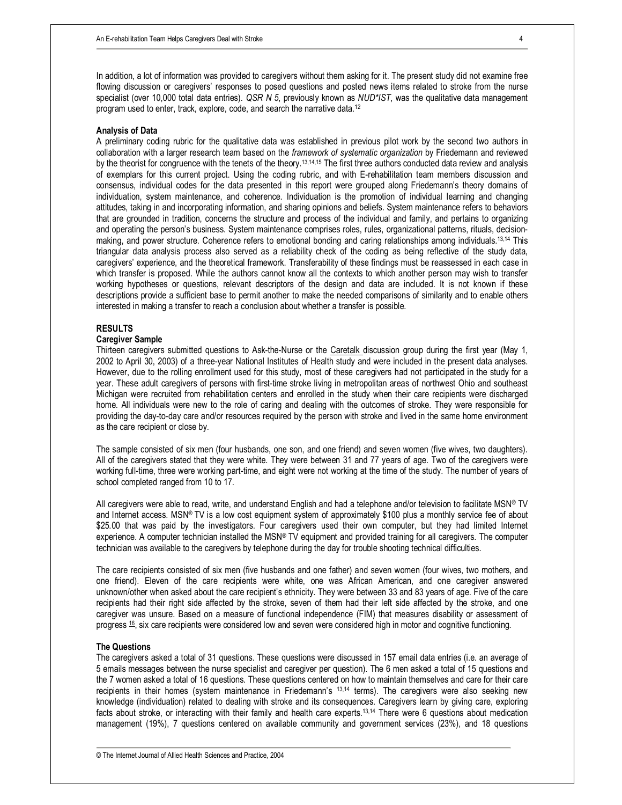In addition, a lot of information was provided to caregivers without them asking for it. The present study did not examine free flowing discussion or caregivers' responses to posed questions and posted news items related to stroke from the nurse specialist (over 10,000 total data entries). *QSR N 5*, previously known as *NUD\*IST*, was the qualitative data management program used to enter, track, explore, code, and search the narrative data.<sup>12</sup>

### **Analysis of Data**

A preliminary coding rubric for the qualitative data was established in previous pilot work by the second two authors in collaboration with a larger research team based on the *framework of systematic organization* by Friedemann and reviewed by the theorist for congruence with the tenets of the theory.13,14,15 The first three authors conducted data review and analysis of exemplars for this current project. Using the coding rubric, and with E-rehabilitation team members discussion and consensus, individual codes for the data presented in this report were grouped along Friedemann's theory domains of individuation, system maintenance, and coherence. Individuation is the promotion of individual learning and changing attitudes, taking in and incorporating information, and sharing opinions and beliefs. System maintenance refers to behaviors that are grounded in tradition, concerns the structure and process of the individual and family, and pertains to organizing and operating the person's business. System maintenance comprises roles, rules, organizational patterns, rituals, decisionmaking, and power structure. Coherence refers to emotional bonding and caring relationships among individuals.13,14 This triangular data analysis process also served as a reliability check of the coding as being reflective of the study data, caregivers' experience, and the theoretical framework. Transferability of these findings must be reassessed in each case in which transfer is proposed. While the authors cannot know all the contexts to which another person may wish to transfer working hypotheses or questions, relevant descriptors of the design and data are included. It is not known if these descriptions provide a sufficient base to permit another to make the needed comparisons of similarity and to enable others interested in making a transfer to reach a conclusion about whether a transfer is possible.

# **RESULTS**

# **Caregiver Sample**

Thirteen caregivers submitted questions to Ask-the-Nurse or the Caretalk discussion group during the first year (May 1, 2002 to April 30, 2003) of a three-year National Institutes of Health study and were included in the present data analyses. However, due to the rolling enrollment used for this study, most of these caregivers had not participated in the study for a year. These adult caregivers of persons with first-time stroke living in metropolitan areas of northwest Ohio and southeast Michigan were recruited from rehabilitation centers and enrolled in the study when their care recipients were discharged home. All individuals were new to the role of caring and dealing with the outcomes of stroke. They were responsible for providing the day-to-day care and/or resources required by the person with stroke and lived in the same home environment as the care recipient or close by.

The sample consisted of six men (four husbands, one son, and one friend) and seven women (five wives, two daughters). All of the caregivers stated that they were white. They were between 31 and 77 years of age. Two of the caregivers were working full-time, three were working part-time, and eight were not working at the time of the study. The number of years of school completed ranged from 10 to 17.

All caregivers were able to read, write, and understand English and had a telephone and/or television to facilitate MSN® TV and Internet access. MSN® TV is a low cost equipment system of approximately \$100 plus a monthly service fee of about \$25.00 that was paid by the investigators. Four caregivers used their own computer, but they had limited Internet experience. A computer technician installed the MSN® TV equipment and provided training for all caregivers. The computer technician was available to the caregivers by telephone during the day for trouble shooting technical difficulties.

The care recipients consisted of six men (five husbands and one father) and seven women (four wives, two mothers, and one friend). Eleven of the care recipients were white, one was African American, and one caregiver answered unknown/other when asked about the care recipient's ethnicity. They were between 33 and 83 years of age. Five of the care recipients had their right side affected by the stroke, seven of them had their left side affected by the stroke, and one caregiver was unsure. Based on a measure of functional independence (FIM) that measures disability or assessment of progress <sup>16</sup> , six care recipients were considered low and seven were considered high in motor and cognitive functioning.

### **The Questions**

The caregivers asked a total of 31 questions. These questions were discussed in 157 email data entries (i.e. an average of 5 emails messages between the nurse specialist and caregiver per question). The 6 men asked a total of 15 questions and the 7 women asked a total of 16 questions. These questions centered on how to maintain themselves and care for their care recipients in their homes (system maintenance in Friedemann's 13,14 terms). The caregivers were also seeking new knowledge (individuation) related to dealing with stroke and its consequences. Caregivers learn by giving care, exploring facts about stroke, or interacting with their family and health care experts.13,14 There were 6 questions about medication management (19%), 7 questions centered on available community and government services (23%), and 18 questions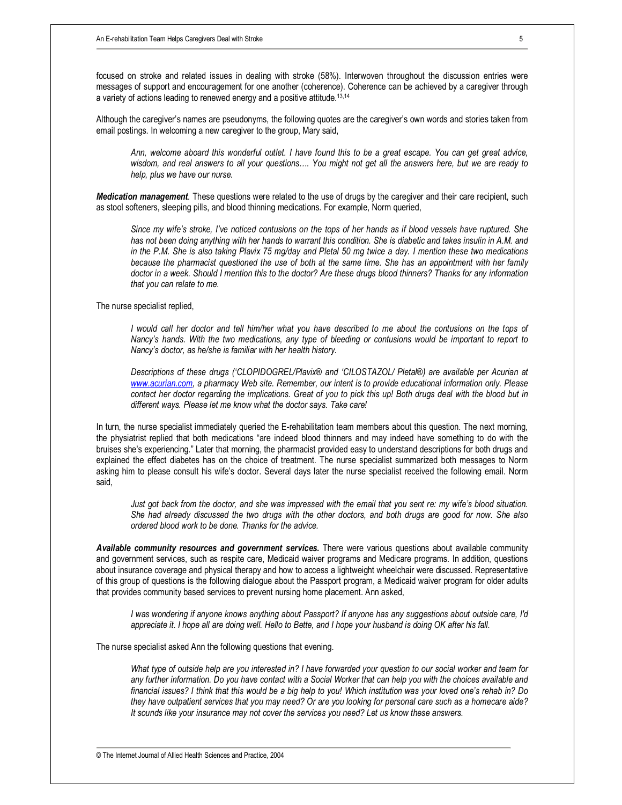focused on stroke and related issues in dealing with stroke (58%). Interwoven throughout the discussion entries were messages of support and encouragement for one another (coherence). Coherence can be achieved by a caregiver through a variety of actions leading to renewed energy and a positive attitude.<sup>13,14</sup>

Although the caregiver's names are pseudonyms, the following quotes are the caregiver's own words and stories taken from email postings. In welcoming a new caregiver to the group, Mary said,

Ann, welcome aboard this wonderful outlet. I have found this to be a great escape. You can get great advice, wisdom, and real answers to all your questions.... You might not get all the answers here, but we are ready to *help, plus we have our nurse.* 

*Medication management.* These questions were related to the use of drugs by the caregiver and their care recipient, such as stool softeners, sleeping pills, and blood thinning medications. For example, Norm queried,

Since my wife's stroke, I've noticed contusions on the tops of her hands as if blood vessels have ruptured. She has not been doing anything with her hands to warrant this condition. She is diabetic and takes insulin in A.M. and in the P.M. She is also taking Plavix 75 mg/day and Pletal 50 mg twice a day. I mention these two medications because the pharmacist questioned the use of both at the same time. She has an appointment with her family *doctor in a week. Should I mention this to the doctor? Are these drugs blood thinners? Thanks for any information that you can relate to me.* 

The nurse specialist replied,

I would call her doctor and tell him/her what you have described to me about the contusions on the tops of Nancy's hands. With the two medications, any type of bleeding or contusions would be important to report to *Nancy's doctor, as he/she is familiar with her health history.* 

*Descriptions of these drugs ('CLOPIDOGREL/Plavix® and 'CILOSTAZOL/ Pletal®) are available per Acurian at [www.acurian.com,](http://www.acurian.com) a pharmacy Web site. Remember, our intent is to provide educational information only. Please*  contact her doctor regarding the implications. Great of you to pick this up! Both drugs deal with the blood but in *different ways. Please let me know what the doctor says. Take care!* 

In turn, the nurse specialist immediately queried the E-rehabilitation team members about this question. The next morning, the physiatrist replied that both medications "are indeed blood thinners and may indeed have something to do with the bruises she's experiencing." Later that morning, the pharmacist provided easy to understand descriptions for both drugs and explained the effect diabetes has on the choice of treatment. The nurse specialist summarized both messages to Norm asking him to please consult his wife's doctor. Several days later the nurse specialist received the following email. Norm said,

Just got back from the doctor, and she was impressed with the email that you sent re: my wife's blood situation. She had already discussed the two drugs with the other doctors, and both drugs are good for now. She also *ordered blood work to be done. Thanks for the advice.* 

*Available community resources and government services.* There were various questions about available community and government services, such as respite care, Medicaid waiver programs and Medicare programs. In addition, questions about insurance coverage and physical therapy and how to access a lightweight wheelchair were discussed. Representative of this group of questions is the following dialogue about the Passport program, a Medicaid waiver program for older adults that provides community based services to prevent nursing home placement. Ann asked,

I was wondering if anyone knows anything about Passport? If anyone has any suggestions about outside care, I'd *appreciate it. I hope all are doing well. Hello to Bette, and I hope your husband is doing OK after his fall.* 

The nurse specialist asked Ann the following questions that evening.

What type of outside help are you interested in? I have forwarded your question to our social worker and team for any further information. Do you have contact with a Social Worker that can help you with the choices available and financial issues? I think that this would be a big help to you! Which institution was your loved one's rehab in? Do they have outpatient services that you may need? Or are you looking for personal care such as a homecare aide? *It sounds like your insurance may not cover the services you need? Let us know these answers.*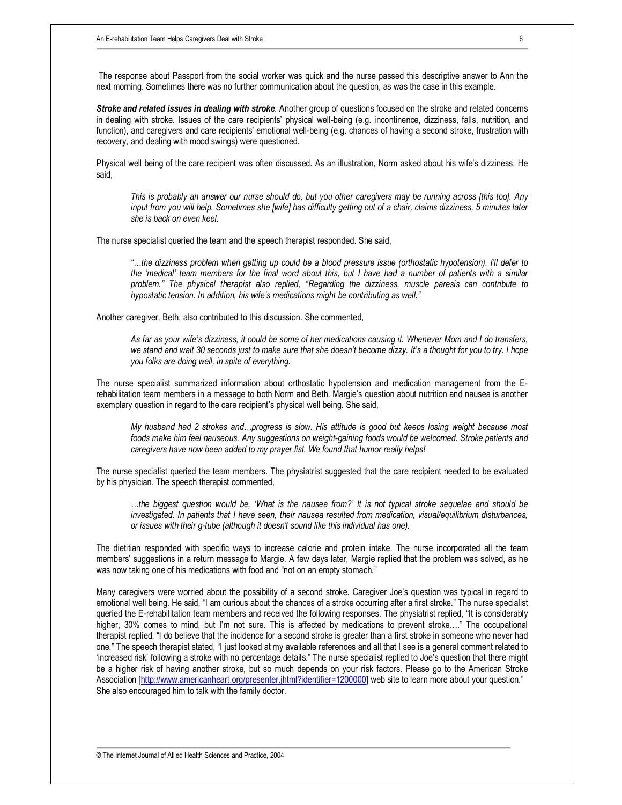The response about Passport from the social worker was quick and the nurse passed this descriptive answer to Ann the next morning. Sometimes there was no further communication about the question, as was the case in this example.

*Stroke and related issues in dealing with stroke.* Another group of questions focused on the stroke and related concerns in dealing with stroke. Issues of the care recipients' physical well-being (e.g. incontinence, dizziness, falls, nutrition, and function), and caregivers and care recipients' emotional well-being (e.g. chances of having a second stroke, frustration with recovery, and dealing with mood swings) were questioned.

Physical well being of the care recipient was often discussed. As an illustration, Norm asked about his wife's dizziness. He said,

This is probably an answer our nurse should do, but you other caregivers may be running across [this too]. Any *input from you will help. Sometimes she [wife] has difficulty getting out of a chair, claims dizziness, 5 minutes later she is back on even keel.* 

The nurse specialist queried the team and the speech therapist responded. She said,

the dizziness problem when getting up could be a blood pressure issue (orthostatic hypotension). I'll defer to the 'medical' team members for the final word about this, but I have had a number of patients with a similar *problem." The physical therapist also replied, "Regarding the dizziness, muscle paresis can contribute to hypostatic tension. In addition, his wife's medications might be contributing as well."* 

Another caregiver, Beth, also contributed to this discussion. She commented,

As far as your wife's dizziness, it could be some of her medications causing it. Whenever Mom and I do transfers, we stand and wait 30 seconds just to make sure that she doesn't become dizzy. It's a thought for you to try. I hope *you folks are doing well, in spite of everything.* 

The nurse specialist summarized information about orthostatic hypotension and medication management from the Erehabilitation team members in a message to both Norm and Beth. Margie's question about nutrition and nausea is another exemplary question in regard to the care recipient's physical well being. She said,

My husband had 2 strokes and...progress is slow. His attitude is good but keeps losing weight because most *foods make him feel nauseous. Any suggestions on weight-gaining foods would be welcomed. Stroke patients and caregivers have now been added to my prayer list. We found that humor really helps!* 

The nurse specialist queried the team members. The physiatrist suggested that the care recipient needed to be evaluated by his physician. The speech therapist commented,

the biggest question would be, 'What is the nausea from?' It is not typical stroke sequelae and should be... *investigated. In patients that I have seen, their nausea resulted from medication, visual/equilibrium disturbances, or issues with their g-tube (although it doesn't sound like this individual has one).* 

The dietitian responded with specific ways to increase calorie and protein intake. The nurse incorporated all the team members' suggestions in a return message to Margie. A few days later, Margie replied that the problem was solved, as he was now taking one of his medications with food and "not on an empty stomach."

Many caregivers were worried about the possibility of a second stroke. Caregiver Joe's question was typical in regard to emotional well being. He said, "I am curious about the chances of a stroke occurring after a first stroke." The nurse specialist queried the E-rehabilitation team members and received the following responses. The physiatrist replied, "It is considerably higher, 30% comes to mind, but I'm not sure. This is affected by medications to prevent stroke...." The occupational therapist replied, "I do believe that the incidence for a second stroke is greater than a first stroke in someone who never had one." The speech therapist stated, "I just looked at my available references and all that I see is a general comment related to 'increased risk' following a stroke with no percentage details." The nurse specialist replied to Joe's question that there might be a higher risk of having another stroke, but so much depends on your risk factors. Please go to the American Stroke Association [[http://www.americanheart.org/presenter.jhtml?identifier=1200000\]](http://www.americanheart.org/presenter.jhtml?identifier=1200000) web site to learn more about your question." She also encouraged him to talk with the family doctor.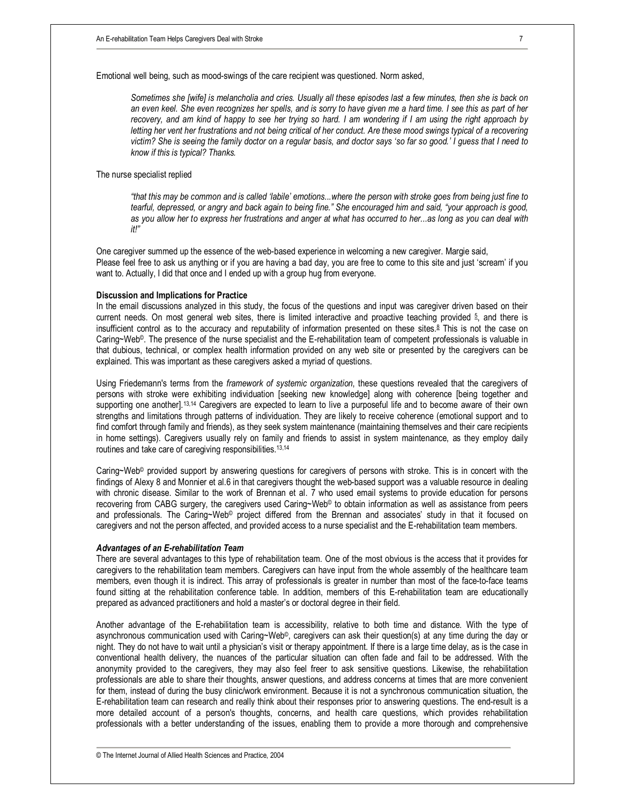Emotional well being, such as mood-swings of the care recipient was questioned. Norm asked,

Sometimes she [wife] is melancholia and cries. Usually all these episodes last a few minutes, then she is back on an even keel. She even recognizes her spells, and is sorry to have given me a hard time. I see this as part of her recovery, and am kind of happy to see her trying so hard. I am wondering if I am using the right approach by letting her vent her frustrations and not being critical of her conduct. Are these mood swings typical of a recovering victim? She is seeing the family doctor on a regular basis, and doctor says 'so far so good.' I guess that I need to *know if this is typical? Thanks.* 

# The nurse specialist replied

"that this may be common and is called 'labile' emotions...where the person with stroke goes from being just fine to tearful, depressed, or angry and back again to being fine." She encouraged him and said, "your approach is good, as you allow her to express her frustrations and anger at what has occurred to her...as long as you can deal with *it!"* 

One caregiver summed up the essence of the web-based experience in welcoming a new caregiver. Margie said, Please feel free to ask us anything or if you are having a bad day, you are free to come to this site and just 'scream' if you want to. Actually, I did that once and I ended up with a group hug from everyone.

#### **Discussion and Implications for Practice**

In the email discussions analyzed in this study, the focus of the questions and input was caregiver driven based on their current needs. On most general web sites, there is limited interactive and proactive teaching provided <sup>5</sup> , and there is insufficient control as to the accuracy and reputability of information presented on these sites.<sup>8</sup> This is not the case on Caring~Web©. The presence of the nurse specialist and the E-rehabilitation team of competent professionals is valuable in that dubious, technical, or complex health information provided on any web site or presented by the caregivers can be explained. This was important as these caregivers asked a myriad of questions.

Using Friedemann's terms from the *framework of systemic organization*, these questions revealed that the caregivers of persons with stroke were exhibiting individuation [seeking new knowledge] along with coherence [being together and supporting one another].13,14 Caregivers are expected to learn to live a purposeful life and to become aware of their own strengths and limitations through patterns of individuation. They are likely to receive coherence (emotional support and to find comfort through family and friends), as they seek system maintenance (maintaining themselves and their care recipients in home settings). Caregivers usually rely on family and friends to assist in system maintenance, as they employ daily routines and take care of caregiving responsibilities.<sup>13,14</sup>

Caring~Web© provided support by answering questions for caregivers of persons with stroke. This is in concert with the findings of Alexy 8 and Monnier et al.6 in that caregivers thought the web-based support was a valuable resource in dealing with chronic disease. Similar to the work of Brennan et al. 7 who used email systems to provide education for persons recovering from CABG surgery, the caregivers used Caring~Web© to obtain information as well as assistance from peers and professionals. The Caring~Web<sup>®</sup> project differed from the Brennan and associates' study in that it focused on caregivers and not the person affected, and provided access to a nurse specialist and the E-rehabilitation team members.

#### *Advantages of an E-rehabilitation Team*

There are several advantages to this type of rehabilitation team. One of the most obvious is the access that it provides for caregivers to the rehabilitation team members. Caregivers can have input from the whole assembly of the healthcare team members, even though it is indirect. This array of professionals is greater in number than most of the face-to-face teams found sitting at the rehabilitation conference table. In addition, members of this E-rehabilitation team are educationally prepared as advanced practitioners and hold a master's or doctoral degree in their field.

Another advantage of the E-rehabilitation team is accessibility, relative to both time and distance. With the type of asynchronous communication used with Caring~Web©, caregivers can ask their question(s) at any time during the day or night. They do not have to wait until a physician's visit or therapy appointment. If there is a large time delay, as is the case in conventional health delivery, the nuances of the particular situation can often fade and fail to be addressed. With the anonymity provided to the caregivers, they may also feel freer to ask sensitive questions. Likewise, the rehabilitation professionals are able to share their thoughts, answer questions, and address concerns at times that are more convenient for them, instead of during the busy clinic/work environment. Because it is not a synchronous communication situation, the E-rehabilitation team can research and really think about their responses prior to answering questions. The end-result is a more detailed account of a person's thoughts, concerns, and health care questions, which provides rehabilitation professionals with a better understanding of the issues, enabling them to provide a more thorough and comprehensive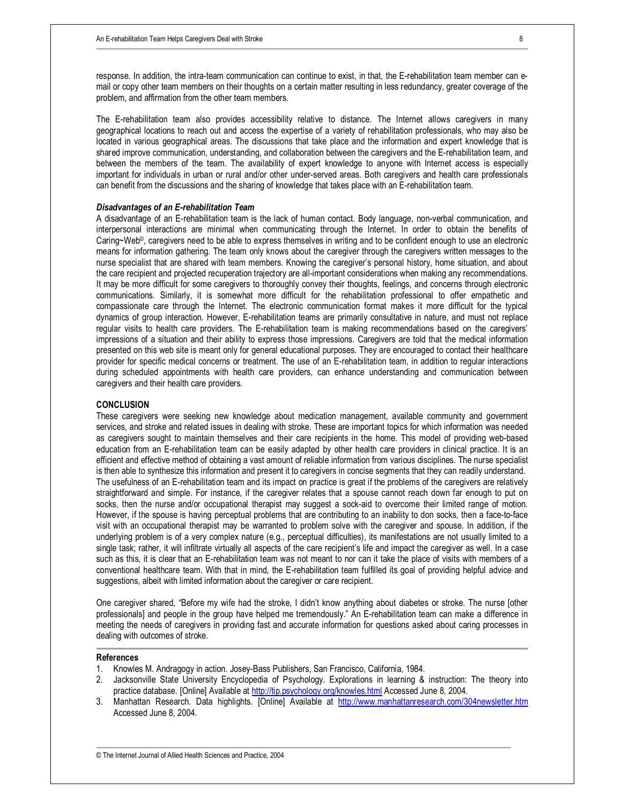response. In addition, the intra-team communication can continue to exist, in that, the E-rehabilitation team member can email or copy other team members on their thoughts on a certain matter resulting in less redundancy, greater coverage of the problem, and affirmation from the other team members.

The E-rehabilitation team also provides accessibility relative to distance. The Internet allows caregivers in many geographical locations to reach out and access the expertise of a variety of rehabilitation professionals, who may also be located in various geographical areas. The discussions that take place and the information and expert knowledge that is shared improve communication, understanding, and collaboration between the caregivers and the E-rehabilitation team, and between the members of the team. The availability of expert knowledge to anyone with Internet access is especially important for individuals in urban or rural and/or other under-served areas. Both caregivers and health care professionals can benefit from the discussions and the sharing of knowledge that takes place with an E-rehabilitation team.

### *Disadvantages of an E-rehabilitation Team*

A disadvantage of an E-rehabilitation team is the lack of human contact. Body language, non-verbal communication, and interpersonal interactions are minimal when communicating through the Internet. In order to obtain the benefits of Caring~Web©, caregivers need to be able to express themselves in writing and to be confident enough to use an electronic means for information gathering. The team only knows about the caregiver through the caregivers written messages to the nurse specialist that are shared with team members. Knowing the caregiver's personal history, home situation, and about the care recipient and projected recuperation trajectory are all-important considerations when making any recommendations. It may be more difficult for some caregivers to thoroughly convey their thoughts, feelings, and concerns through electronic communications. Similarly, it is somewhat more difficult for the rehabilitation professional to offer empathetic and compassionate care through the Internet. The electronic communication format makes it more difficult for the typical dynamics of group interaction. However, E-rehabilitation teams are primarily consultative in nature, and must not replace regular visits to health care providers. The E-rehabilitation team is making recommendations based on the caregivers' impressions of a situation and their ability to express those impressions. Caregivers are told that the medical information presented on this web site is meant only for general educational purposes. They are encouraged to contact their healthcare provider for specific medical concerns or treatment. The use of an E-rehabilitation team, in addition to regular interactions during scheduled appointments with health care providers, can enhance understanding and communication between caregivers and their health care providers.

### **CONCLUSION**

These caregivers were seeking new knowledge about medication management, available community and government services, and stroke and related issues in dealing with stroke. These are important topics for which information was needed as caregivers sought to maintain themselves and their care recipients in the home. This model of providing web-based education from an E-rehabilitation team can be easily adapted by other health care providers in clinical practice. It is an efficient and effective method of obtaining a vast amount of reliable information from various disciplines. The nurse specialist is then able to synthesize this information and present it to caregivers in concise segments that they can readily understand. The usefulness of an E-rehabilitation team and its impact on practice is great if the problems of the caregivers are relatively straightforward and simple. For instance, if the caregiver relates that a spouse cannot reach down far enough to put on socks, then the nurse and/or occupational therapist may suggest a sock-aid to overcome their limited range of motion. However, if the spouse is having perceptual problems that are contributing to an inability to don socks, then a face-to-face visit with an occupational therapist may be warranted to problem solve with the caregiver and spouse. In addition, if the underlying problem is of a very complex nature (e.g., perceptual difficulties), its manifestations are not usually limited to a single task; rather, it will infiltrate virtually all aspects of the care recipient's life and impact the caregiver as well. In a case such as this, it is clear that an E-rehabilitation team was not meant to nor can it take the place of visits with members of a conventional healthcare team. With that in mind, the E-rehabilitation team fulfilled its goal of providing helpful advice and suggestions, albeit with limited information about the caregiver or care recipient.

One caregiver shared, "Before my wife had the stroke, I didn't know anything about diabetes or stroke. The nurse [other professionals] and people in the group have helped me tremendously." An E-rehabilitation team can make a difference in meeting the needs of caregivers in providing fast and accurate information for questions asked about caring processes in dealing with outcomes of stroke.

#### **References**

- 1. Knowles M. Andragogy in action. Josey-Bass Publishers, San Francisco, California, 1984.
- 2. Jacksonville State University Encyclopedia of Psychology. Explorations in learning & instruction: The theory into practice database. [Online] Available at <http://tip.psychology.org/knowles.html> Accessed June 8, 2004.
- 3. Manhattan Research. Data highlights. [Online] Available at <http://www.manhattanresearch.com/304newsletter.htm> Accessed June 8, 2004.